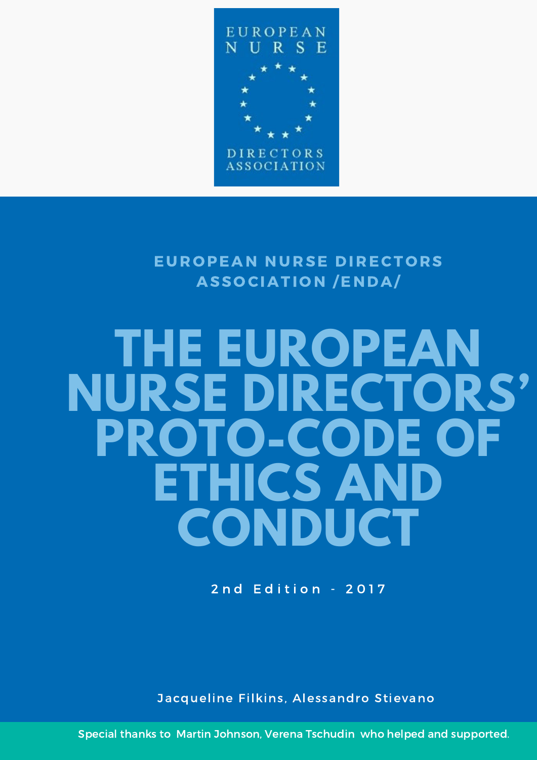

EUROPEAN NURSE DIRECTORS ASSOCIATION /ENDA/

## **THE EUROPEAN NURSE DIRECTORS' PROTO-CODE OF ETHICS AND CONDUCT**

2 nd Edition - 2017

Jacqueline Filkins, Alessandro Stievano

Special thanks to Martin Johnson, Verena Tschudin who helped and supported.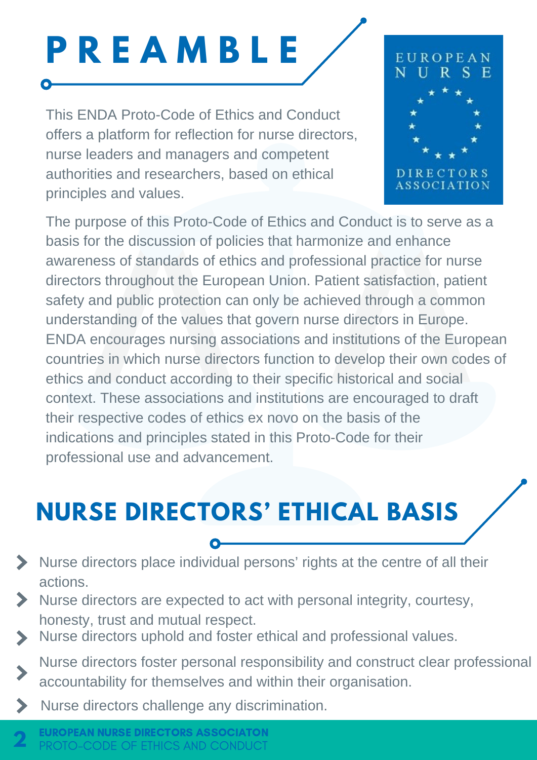# **P R E A M B L E**

This ENDA Proto-Code of Ethics and Conduct offers a platform for reflection for nurse directors, nurse leaders and managers and competent authorities and researchers, based on ethical principles and values.



The purpose of this Proto-Code of Ethics and Conduct is to serve as a basis for the discussion of policies that harmonize and enhance awareness of standards of ethics and professional practice for nurse directors throughout the European Union. Patient satisfaction, patient safety and public protection can only be achieved through a common understanding of the values that govern nurse directors in Europe. ENDA encourages nursing associations and institutions of the European countries in which nurse directors function to develop their own codes of ethics and conduct according to their specific historical and social context. These associations and institutions are encouraged to draft their respective codes of ethics ex novo on the basis of the indications and principles stated in this Proto-Code for their professional use and advancement.

## **NURSE DIRECTORS' ETHICAL BASIS**

- Nurse directors place individual persons' rights at the centre of all their actions.
- S Nurse directors are expected to act with personal integrity, courtesy, honesty, trust and mutual respect.
	- Nurse directors uphold and foster ethical and professional values.
	- Nurse directors foster personal responsibility and construct clear professional accountability for themselves and within their organisation.
- Nurse directors challenge any discrimination.  $\blacktriangleright$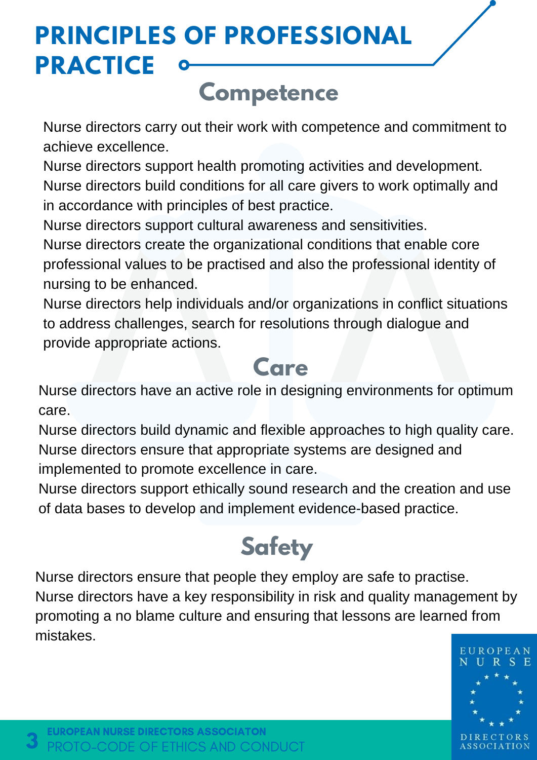## **PRINCIPLES OF PROFESSIONAL PRACTICE**

#### **Competence**

Nurse directors carry out their work with competence and commitment to achieve excellence.

Nurse directors support health promoting activities and development. Nurse directors build conditions for all care givers to work optimally and in accordance with principles of best practice.

Nurse directors support cultural awareness and sensitivities.

Nurse directors create the organizational conditions that enable core professional values to be practised and also the professional identity of nursing to be enhanced.

Nurse directors help individuals and/or organizations in conflict situations to address challenges, search for resolutions through dialogue and provide appropriate actions.

#### **Care**

Nurse directors have an active role in designing environments for optimum care.

Nurse directors build dynamic and flexible approaches to high quality care. Nurse directors ensure that appropriate systems are designed and implemented to promote excellence in care.

Nurse directors support ethically sound research and the creation and use of data bases to develop and implement evidence-based practice.

## **Safety**

Nurse directors ensure that people they employ are safe to practise. Nurse directors have a key responsibility in risk and quality management by promoting a no blame culture and ensuring that lessons are learned from mistakes.



**3**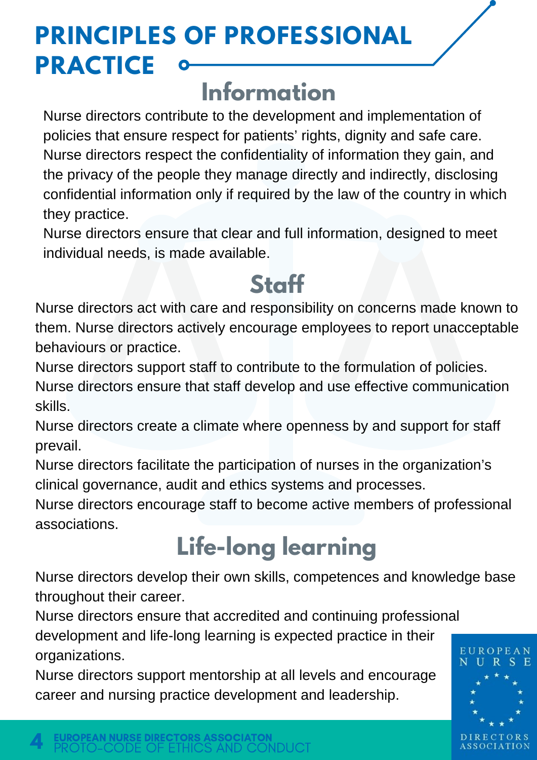## **PRINCIPLES OF PROFESSIONAL PRACTICE**

#### **Information**

Nurse directors contribute to the development and implementation of policies that ensure respect for patients' rights, dignity and safe care. Nurse directors respect the confidentiality of information they gain, and the privacy of the people they manage directly and indirectly, disclosing confidential information only if required by the law of the country in which they practice.

Nurse directors ensure that clear and full information, designed to meet individual needs, is made available.

#### **Staff**

Nurse directors act with care and responsibility on concerns made known to them. Nurse directors actively encourage employees to report unacceptable behaviours or practice.

Nurse directors support staff to contribute to the formulation of policies.

Nurse directors ensure that staff develop and use effective communication skills.

Nurse directors create a climate where openness by and support for staff prevail.

Nurse directors facilitate the participation of nurses in the organization's clinical governance, audit and ethics systems and processes.

Nurse directors encourage staff to become active members of professional associations.

## **Life-long learning**

Nurse directors develop their own skills, competences and knowledge base throughout their career.

Nurse directors ensure that accredited and continuing professional development and life-long learning is expected practice in their organizations.

Nurse directors support mentorship at all levels and encourage career and nursing practice development and leadership.



**4**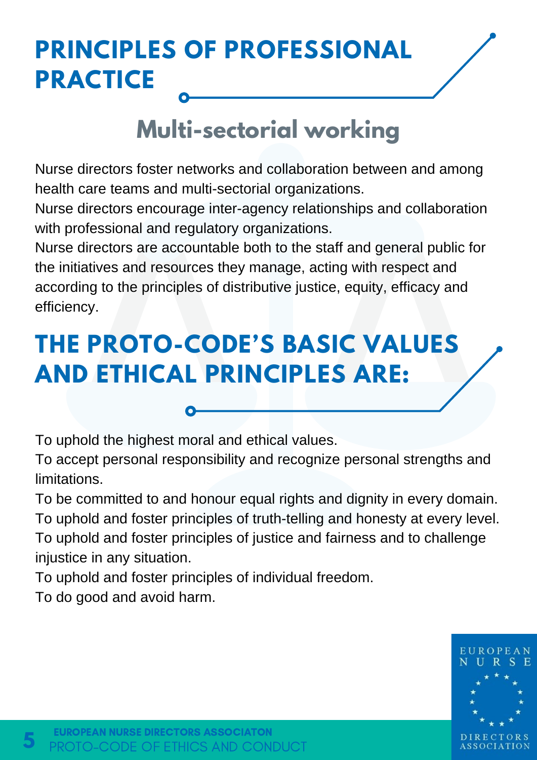#### **PRINCIPLES OF PROFESSIONAL PRACTICE**

#### **Multi-sectorial working**

Nurse directors foster networks and collaboration between and among health care teams and multi-sectorial organizations.

Nurse directors encourage inter-agency relationships and collaboration with professional and regulatory organizations.

Nurse directors are accountable both to the staff and general public for the initiatives and resources they manage, acting with respect and according to the principles of distributive justice, equity, efficacy and efficiency.

#### **THE PROTO-CODE'S BASIC VALUES AND ETHICAL PRINCIPLES ARE:**

To uphold the highest moral and ethical values.

To accept personal responsibility and recognize personal strengths and limitations.

To be committed to and honour equal rights and dignity in every domain. To uphold and foster principles of truth-telling and honesty at every level. To uphold and foster principles of justice and fairness and to challenge injustice in any situation.

To uphold and foster principles of individual freedom.

To do good and avoid harm.